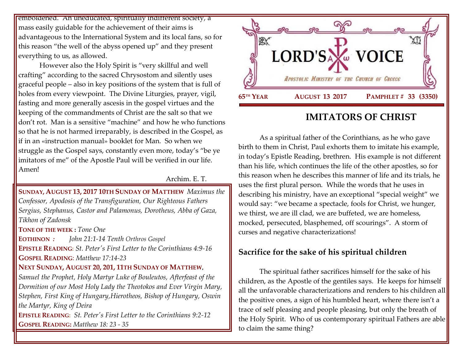emboldened. An uneducated, spiritually indifferent society, a mass easily guidable for the achievement of their aims is advantageous to the International System and its local fans, so for this reason "the well of the abyss opened up" and they present everything to us, as allowed.

However also the Holy Spirit is "very skillful and well crafting" according to the sacred Chrysostom and silently uses graceful people – also in key positions of the system that is full of holes from every viewpoint. The Divine Liturgies, prayer, vigil, fasting and more generally ascesis in the gospel virtues and the keeping of the commandments of Christ are the salt so that we don't rot. Man is a sensitive "machine" and how he who functions so that he is not harmed irreparably, is described in the Gospel, as if in an «instruction manual» booklet for Man. So when we struggle as the Gospel says, constantly even more, today's "be ye imitators of me" of the Apostle Paul will be verified in our life. Amen!

#### Archim. E. T.

### **SUNDAY, AUGUST 13, 2017 10TH S[UNDAY OF](https://www.goarch.org/chapel/saints?contentid=1098&PCode=10PES&D=S&date=8/13/2017) MATTHEW** *[Maximus the](https://www.goarch.org/chapel/saints?contentid=162)  [Confessor,](https://www.goarch.org/chapel/saints?contentid=162) [Apodosis of the Transfiguration,](https://www.goarch.org/chapel/saints?contentid=572) Our Righteous Fathers Sergius, Stephanus, Castor and Palamonus, [Dorotheus, Abba of Gaza,](https://www.goarch.org/chapel/saints?contentid=2217) [Tikhon of Zadonsk](https://www.goarch.org/chapel/saints?contentid=2468)*

**TONE OF THE WEEK :** *Tone One*

**EOTHINON** *: John 21:1-14 Tenth Orthros Gospel*

**EPISTLE READING:** *[St. Peter's First Letter to the Corinthians 4:9-16](https://www.goarch.org/chapel/lectionary?type=epistle&code=27&event=940&date=5/28/2017)* **GOSPEL READING**: *[Matthew 17:14-23](https://www.goarch.org/chapel/lectionary?type=gospel&code=43&event=940&date=5/28/2017)*

### **NEXT SUNDAY, AUGUST 20, 201, 11TH SUNDAY OF MATTHEW**,

*[Samuel the Prophet,](https://www.goarch.org/chapel/saints?contentid=171) Holy Martyr Luke of Bouleutos, [Afterfeast of the](https://www.goarch.org/chapel/saints?contentid=2422)  [Dormition of our Most Holy Lady the Theotokos and Ever Virgin Mary,](https://www.goarch.org/chapel/saints?contentid=2422) Stephen, First King of Hungary,Hierotheos, Bishop of Hungary, Oswin the Martyr, King of Deira*

**EPISTLE READING:** *[St. Peter's First Letter to the Corinthians 9:2-12](https://www.goarch.org/chapel/lectionary?type=epistle&code=27&event=940&date=5/28/2017)* **GOSPEL READING:** *[Matthew 18:](https://www.goarch.org/chapel/lectionary?type=gospel&code=43&event=940&date=5/28/2017) 23 - 35*



# **IMITATORS OF CHRIST**

As a spiritual father of the Corinthians, as he who gave birth to them in Christ, Paul exhorts them to imitate his example, in today's Epistle Reading, brethren. His example is not different than his life, which continues the life of the other apostles, so for this reason when he describes this manner of life and its trials, he uses the first plural person. While the words that he uses in describing his ministry, have an exceptional "special weight" we would say: "we became a spectacle, fools for Christ, we hunger, we thirst, we are ill clad, we are buffeted, we are homeless, mocked, persecuted, blasphemed, off scourings". A storm of curses and negative characterizations!

## **Sacrifice for the sake of his spiritual children**

The spiritual father sacrifices himself for the sake of his children, as the Apostle of the gentiles says. He keeps for himself all the unfavorable characterizations and renders to his children all the positive ones, a sign of his humbled heart, where there isn't a trace of self pleasing and people pleasing, but only the breath of the Holy Spirit. Who of us contemporary spiritual Fathers are able to claim the same thing?